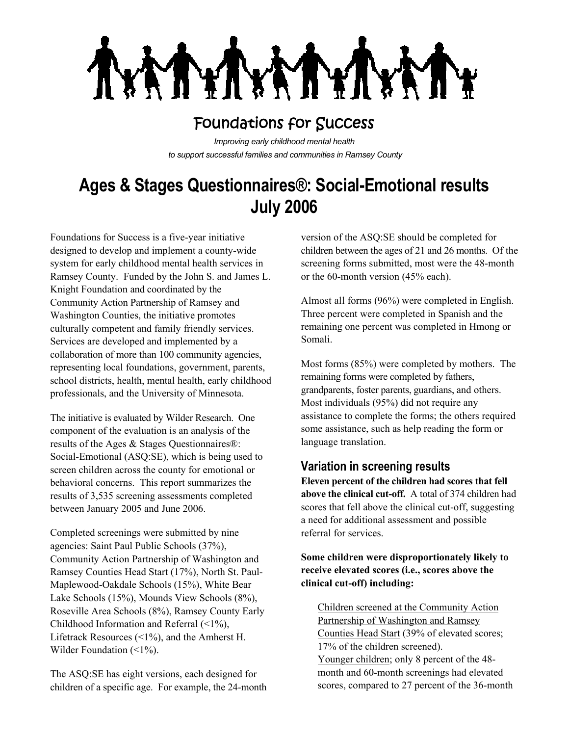

## Foundations for Success

*Improving early childhood mental health to support successful families and communities in Ramsey County*

# **Ages & Stages Questionnaires®: Social-Emotional results July 2006**

Foundations for Success is a five-year initiative designed to develop and implement a county-wide system for early childhood mental health services in Ramsey County. Funded by the John S. and James L. Knight Foundation and coordinated by the Community Action Partnership of Ramsey and Washington Counties, the initiative promotes culturally competent and family friendly services. Services are developed and implemented by a collaboration of more than 100 community agencies, representing local foundations, government, parents, school districts, health, mental health, early childhood professionals, and the University of Minnesota.

The initiative is evaluated by Wilder Research. One component of the evaluation is an analysis of the results of the Ages & Stages Questionnaires®: Social-Emotional (ASQ:SE), which is being used to screen children across the county for emotional or behavioral concerns. This report summarizes the results of 3,535 screening assessments completed between January 2005 and June 2006.

Completed screenings were submitted by nine agencies: Saint Paul Public Schools (37%), Community Action Partnership of Washington and Ramsey Counties Head Start (17%), North St. Paul-Maplewood-Oakdale Schools (15%), White Bear Lake Schools (15%), Mounds View Schools (8%), Roseville Area Schools (8%), Ramsey County Early Childhood Information and Referral (<1%), Lifetrack Resources (<1%), and the Amherst H. Wilder Foundation (<1%).

The ASQ:SE has eight versions, each designed for children of a specific age. For example, the 24-month

version of the ASQ:SE should be completed for children between the ages of 21 and 26 months. Of the screening forms submitted, most were the 48-month or the 60-month version (45% each).

Almost all forms (96%) were completed in English. Three percent were completed in Spanish and the remaining one percent was completed in Hmong or Somali.

Most forms (85%) were completed by mothers. The remaining forms were completed by fathers, grandparents, foster parents, guardians, and others. Most individuals (95%) did not require any assistance to complete the forms; the others required some assistance, such as help reading the form or language translation.

## **Variation in screening results**

**Eleven percent of the children had scores that fell above the clinical cut-off.** A total of 374 children had scores that fell above the clinical cut-off, suggesting a need for additional assessment and possible referral for services.

#### **Some children were disproportionately likely to receive elevated scores (i.e., scores above the clinical cut-off) including:**

Children screened at the Community Action Partnership of Washington and Ramsey Counties Head Start (39% of elevated scores; 17% of the children screened). Younger children; only 8 percent of the 48 month and 60-month screenings had elevated scores, compared to 27 percent of the 36-month